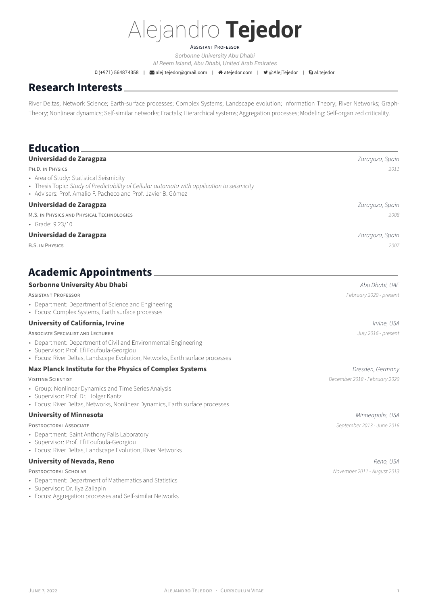# Alejandro **Tejedor**

### ASSiSTANT PROFESSOR

*[Sorbonne University Abu Dhabi](https://www.sorbonne.ae/) Al Reem Island, Abu Dhabi, United Arab Emirates*

D (+971) 564874358 | ⊠[alej.tejedor@gmail.com](mailto:alej.tejedor@gmail.com) | #[atejedor.com](http://atejedor.com) | ♥ [@AlejTejedor](https://twitter.com/@AlejTejedor) | Qal.tejedor

# **Research Interests**

River Deltas; Network Science; Earth-surface processes; Complex Systems; Landscape evolution; Information Theory; River Networks; Graph-Theory; Nonlinear dynamics; Self‑similar networks; Fractals; Hierarchical systems; Aggregation processes; Modeling; Self‑organized criticality.

| <b>Education</b>                                                                                                                                                                                        |                               |
|---------------------------------------------------------------------------------------------------------------------------------------------------------------------------------------------------------|-------------------------------|
| <b>Universidad de Zaragpza</b>                                                                                                                                                                          | Zaragoza, Spain               |
| PH.D. IN PHYSICS                                                                                                                                                                                        | 2011                          |
| • Area of Study: Statistical Seismicity<br>• Thesis Topic: Study of Predictability of Cellular automata with application to seismicity<br>• Advisers: Prof. Amalio F. Pacheco and Prof. Javier B. Gómez |                               |
| <b>Universidad de Zaragpza</b>                                                                                                                                                                          | Zaragoza, Spain               |
| M.S. IN PHYSICS AND PHYSICAL TECHNOLOGIES                                                                                                                                                               | 2008                          |
| • Grade: 9.23/10                                                                                                                                                                                        |                               |
| <b>Universidad de Zaragpza</b>                                                                                                                                                                          | Zaragoza, Spain               |
| <b>B.S. IN PHYSICS</b>                                                                                                                                                                                  | 2007                          |
| <b>Academic Appointments</b>                                                                                                                                                                            |                               |
| <b>Sorbonne University Abu Dhabi</b>                                                                                                                                                                    | Abu Dhabi, UAE                |
| <b>ASSISTANT PROFESSOR</b>                                                                                                                                                                              | February 2020 - present       |
| • Department: Department of Science and Engineering<br>• Focus: Complex Systems, Earth surface processes                                                                                                |                               |
| <b>University of California, Irvine</b>                                                                                                                                                                 | Irvine, USA                   |
| <b>ASSOCIATE SPECIALIST AND LECTURER</b>                                                                                                                                                                | July 2016 - present           |
| • Department: Department of Civil and Environmental Engineering                                                                                                                                         |                               |
| · Supervisor: Prof. Efi Foufoula-Georgiou<br>• Focus: River Deltas, Landscape Evolution, Networks, Earth surface processes                                                                              |                               |
| Max Planck Institute for the Physics of Complex Systems                                                                                                                                                 | Dresden, Germany              |
| <b>VISITING SCIENTIST</b>                                                                                                                                                                               | December 2018 - February 2020 |
| • Group: Nonlinear Dynamics and Time Series Analysis                                                                                                                                                    |                               |
| · Supervisor: Prof. Dr. Holger Kantz<br>• Focus: River Deltas, Networks, Nonlinear Dynamics, Earth surface processes                                                                                    |                               |
| <b>University of Minnesota</b>                                                                                                                                                                          | Minneapolis, USA              |
| POSTDOCTORAL ASSOCIATE                                                                                                                                                                                  | September 2013 - June 2016    |
| • Department: Saint Anthony Falls Laboratory                                                                                                                                                            |                               |
| · Supervisor: Prof. Efi Foufoula-Georgiou<br>• Focus: River Deltas, Landscape Evolution, River Networks                                                                                                 |                               |
|                                                                                                                                                                                                         |                               |
| <b>University of Nevada, Reno</b><br>POSTDOCTORAL SCHOLAR                                                                                                                                               | Reno, USA                     |
| • Department: Department of Mathematics and Statistics                                                                                                                                                  | November 2011 - August 2013   |
| · Supervisor: Dr. Ilya Zaliapin                                                                                                                                                                         |                               |
| • Focus: Aggregation processes and Self-similar Networks                                                                                                                                                |                               |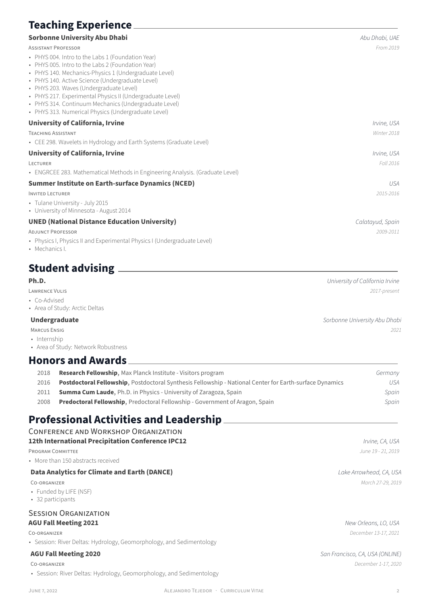# **Teaching Experience**

### **[Sorbonne University Abu Dhabi](https://www.sorbonne.ae/)** *Abu Dhabi, UAE*

ASSiSTANT PROFESSOR *From 2019*

- PHYS 004. Intro to the Labs 1 (Foundation Year)
- PHYS 005. Intro to the Labs 2 (Foundation Year)
- PHYS 140. Mechanics-Physics 1 (Undergraduate Level)
- PHYS 140. Active Science (Undergraduate Level)
- PHYS 203. Waves (Undergraduate Level)
- PHYS 217. Experimental Physics II (Undergraduate Level)
- PHYS 314. Continuum Mechanics (Undergraduate Level)
- PHYS 313. Numerical Physics (Undergraduate Level)

### **[University of California, Irvine](http://uci.edu/)** *Irvine, USA*

TEACHiNG ASSiSTANT *Winter 2018*

• CEE 298. Wavelets in Hydrology and Earth Systems (Graduate Level)

### **[University of California, Irvine](http://uci.edu/)** *Irvine, USA*

LECTURER *Fall 2016*

• ENGRCEE 283. Mathematical Methods in Engineering Analysis. (Graduate Level)

### **[Summer Institute on Earth‑surface Dynamics \(NCED\)](http://www.nced.umn.edu/contents/summer-institute-earth-surface-dynamics)** *USA*

INViTED LECTURER *2015‑2016*

- Tulane University July 2015
- University of Minnesota ‑ August 2014

### **[UNED \(National Distance Education University\)](http://www.uned.es/)** *Calatayud, Spain*

ADJUNCT PROFESSOR *2009‑2011*

- Physics I, Physics II and Experimental Physics I (Undergraduate Level)
- Mechanics I.

# **Student advising**

- Co‑Advised
- Area of Study: Arctic Deltas

- 
- Internship
- Area of Study: Network Robustness

### **Honors and Awards**

| 2018 | <b>Research Fellowship, Max Planck Institute - Visitors program</b>                                     | Germany |
|------|---------------------------------------------------------------------------------------------------------|---------|
| 2016 | Postdoctoral Fellowship, Postdoctoral Synthesis Fellowship - National Center for Earth-surface Dynamics | USA     |
| 2011 | <b>Summa Cum Laude, Ph.D. in Physics - University of Zaragoza, Spain</b>                                | Spain   |
| 2008 | <b>Predoctoral Fellowship, Predoctoral Fellowship - Government of Aragon, Spain</b>                     | Spain   |

# **Professional Activities and Leadership**

| <b>CONFERENCE AND WORKSHOP ORGANIZATION</b> |  |
|---------------------------------------------|--|
|---------------------------------------------|--|

| 12th International Precipitation Conference IPC12 | Irvine, CA, USA |
|---------------------------------------------------|-----------------|
|---------------------------------------------------|-----------------|

PROGRAM COMMiTTEE *June 19 ‑ 21, 2019*

• More than 150 abstracts received

### **[Data Analytics for Climate and Earth \(DANCE\)](https://sites.uci.edu/dance/)** *Lake Arrowhead, CA, USA*

- Funded by [LIFE](http://life.umn.edu/) (NSF)
- 32 participants

### SESSiON ORGANiZATiON **AGU Fall Meeting 2021** *New Orleans, LO, USA*

• Session: River Deltas: Hydrology, Geomorphology, and Sedimentology

• Session: River Deltas: Hydrology, Geomorphology, and Sedimentology

# CO‑ORGANiZER *March 27‑29, 2019*

CO‑ORGANiZER *December 13‑17, 2021*

**AGU Fall Meeting 2020** *San Francisco, CA, USA (ONLINE)* CO‑ORGANiZER *December 1‑17, 2020*

**Ph.D.** *University of California Irvine* LAWRENCE VULiS *2017‑present*

**Undergraduate** *Sorbonne University Abu Dhabi* MARCUS ENSiG *2021*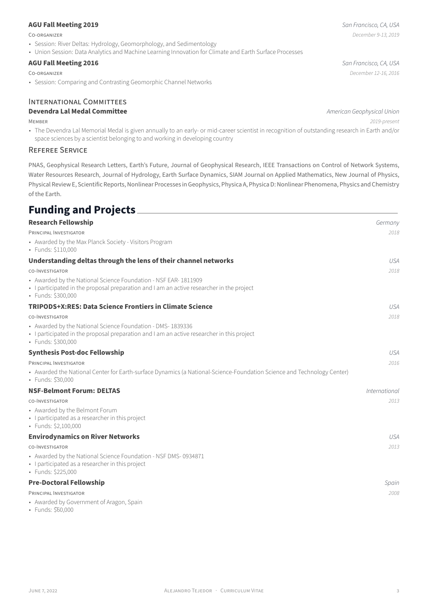### **AGU Fall Meeting 2019** *San Francisco, CA, USA*

- Session: River Deltas: Hydrology, Geomorphology, and Sedimentology
- Union Session: Data Analytics and Machine Learning Innovation for Climate and Earth Surface Processes

### **[AGU Fall Meeting 2016](https://fallmeeting.agu.org/2016/)** *San Francisco, CA, USA*

• Session: Comparing and Contrasting Geomorphic Channel Networks

### INTERNATiONAL COMMiTTEES

### **Devendra Lal Medal Committee** *American Geophysical Union*

MEMBER *2019‑present*

• The Devendra Lal Memorial Medal is given annually to an early- or mid-career scientist in recognition of outstanding research in Earth and/or space sciences by a scientist belonging to and working in developing country

### REFEREE SERViCE

PNAS, Geophysical Research Letters, Earth's Future, Journal of Geophysical Research, IEEE Transactions on Control of Network Systems, Water Resources Research, Journal of Hydrology, Earth Surface Dynamics, SIAM Journal on Applied Mathematics, New Journal of Physics, Physical Review E, Scientific Reports, Nonlinear Processes in Geophysics, Physica A, Physica D: Nonlinear Phenomena, Physics and Chemistry of the Earth.

# **Funding and Projects**

| <u>, ananis ana i ryjecta – </u>                                                                                                                                                  |                      |
|-----------------------------------------------------------------------------------------------------------------------------------------------------------------------------------|----------------------|
| <b>Research Fellowship</b>                                                                                                                                                        | Germany              |
| PRINCIPAL INVESTIGATOR                                                                                                                                                            | 2018                 |
| • Awarded by the Max Planck Society - Visitors Program<br>• Funds: \$110,000                                                                                                      |                      |
| Understanding deltas through the lens of their channel networks                                                                                                                   | <b>USA</b>           |
| CO-INVESTIGATOR                                                                                                                                                                   | 2018                 |
| • Awarded by the National Science Foundation - NSF EAR-1811909<br>• I participated in the proposal preparation and I am an active researcher in the project<br>· Funds: \$300,000 |                      |
| TRIPODS+X:RES: Data Science Frontiers in Climate Science                                                                                                                          | <b>USA</b>           |
| CO-INVESTIGATOR                                                                                                                                                                   | 2018                 |
| • Awarded by the National Science Foundation - DMS-1839336<br>· I participated in the proposal preparation and I am an active researcher in this project<br>· Funds: \$300,000    |                      |
| <b>Synthesis Post-doc Fellowship</b>                                                                                                                                              | <b>USA</b>           |
| PRINCIPAL INVESTIGATOR                                                                                                                                                            | 2016                 |
| • Awarded the National Center for Earth-surface Dynamics (a National-Science-Foundation Science and Technology Center)<br>• Funds: \$30,000                                       |                      |
| <b>NSF-Belmont Forum: DELTAS</b>                                                                                                                                                  | <i>International</i> |
| CO-INVESTIGATOR                                                                                                                                                                   | 2013                 |
| • Awarded by the Belmont Forum<br>• I participated as a researcher in this project<br>· Funds: \$2,100,000                                                                        |                      |
| <b>Envirodynamics on River Networks</b>                                                                                                                                           | <b>USA</b>           |
| CO-INVESTIGATOR                                                                                                                                                                   | 2013                 |
| • Awarded by the National Science Foundation - NSF DMS-0934871<br>• I participated as a researcher in this project<br>· Funds: \$225,000                                          |                      |
| <b>Pre-Doctoral Fellowship</b>                                                                                                                                                    | Spain                |
| PRINCIPAL INVESTIGATOR                                                                                                                                                            | 2008                 |
| • Awarded by Government of Aragon, Spain                                                                                                                                          |                      |

• Funds: \$̃60,000

CO‑ORGANiZER *December 12‑16, 2016*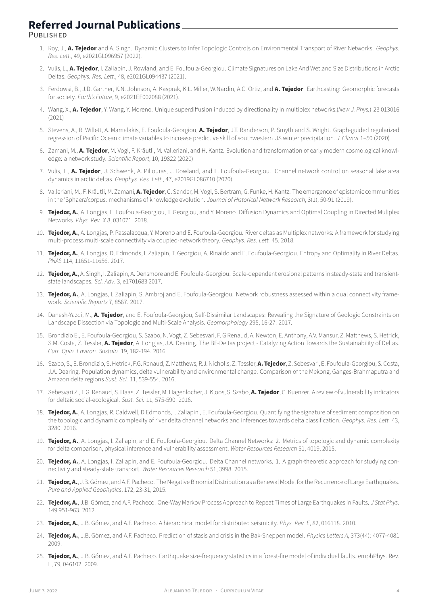# **Referred Journal Publications**

PUBLiSHED

- 1. Roy, J., **A. Tejedor** and A. Singh. Dynamic Clusters to Infer Topologic Controls on Environmental Transport of River Networks. *Geophys. Res. Lett.*, 49, e2021GL096957 (2022).
- 2. Vulis, L., **A. Tejedor**, I. Zaliapin, J. Rowland, and E. Foufoula‑Georgiou. Climate Signatures on Lake And Wetland Size Distributions in Arctic Deltas. *Geophys. Res. Lett.*, 48, e2021GL094437 (2021).
- 3. Ferdowsi, B., J.D. Gartner, K.N. Johnson, A. Kasprak, K.L. Miller, W.Nardin, A.C. Ortiz, and **A. Tejedor**. Earthcasting: Geomorphic forecasts for society. *Earth's Future*, 9, e2021EF002088 (2021).
- 4. Wang, X., **A. Tejedor**, Y. Wang, Y. Moreno. Unique superdiffusion induced by directionality in multiplex networks.(*New J. Phys.*) 23 013016 (2021)
- 5. Stevens, A., R. Willett, A. Mamalakis, E. Foufoula‑Georgiou, **A. Tejedor**, J.T. Randerson, P. Smyth and S. Wright. Graph‑guided regularized regression of Pacific Ocean climate variables to increase predictive skill of southwestern US winter precipitation. *J. Climat* 1–50 (2020)
- 6. Zamani, M., **A. Tejedor**, M. Vogl, F. Kräutli, M. Valleriani, and H. Kantz. Evolution and transformation of early modern cosmological knowl‑ edge: a network study. *Scientific Report*, 10, 19822 (2020)
- 7. Vulis, L., **A. Tejedor**, J. Schwenk, A. Piliouras, J. Rowland, and E. Foufoula‑Georgiou. Channel network control on seasonal lake area dynamics in arctic deltas. *Geophys. Res. Lett.*, 47, e2019GL086710 (2020).
- 8. Valleriani, M., F. Kräutli, M. Zamani, **A. Tejedor**, C. Sander, M. Vogl, S. Bertram, G. Funke, H. Kantz. The emergence of epistemic communities in the 'Sphaera'corpus: mechanisms of knowledge evolution. *Journal of Historical Network Research*, 3(1), 50‑91 (2019).
- 9. **Tejedor, A.**, A. Longjas, E. Foufoula‑Georgiou, T. Georgiou, and Y. Moreno. Diffusion Dynamics and Optimal Coupling in Directed Muliplex Networks. *Phys. Rev. X* 8, 031071. 2018.
- 10. **Tejedor, A.**, A. Longjas, P. Passalacqua, Y. Moreno and E. Foufoula‑Georgiou. River deltas as Multiplex networks: A framework for studying multi‑process multi‑scale connectivity via coupled‑network theory. *Geophys. Res. Lett.* 45. 2018.
- 11. **Tejedor, A.**, A. Longjas, D. Edmonds, I. Zaliapin, T. Georgiou, A. Rinaldo and E. Foufoula‑Georgiou. Entropy and Optimality in River Deltas. *PNAS* 114, 11651‑11656. 2017.
- 12. **Tejedor, A.**, A. Singh, I. Zaliapin, A. Densmore and E. Foufoula-Georgiou. Scale-dependent erosional patterns in steady-state and transientstate landscapes. *Sci. Adv.* 3, e1701683 2017.
- 13. **Tejedor, A.**, A. Longjas, I. Zaliapin, S. Ambroj and E. Foufoula-Georgiou. Network robustness assessed within a dual connectivity framework. *Scientific Reports* 7, 8567. 2017.
- 14. Danesh‑Yazdi, M., **A. Tejedor**, and E. Foufoula‑Georgiou, Self‑Dissimilar Landscapes: Revealing the Signature of Geologic Constraints on Landscape Dissection via Topologic and Multi‑Scale Analysis. *Geomorphology* 295, 16‑27. 2017.
- 15. Brondizio E., E. Foufoula‑Georgiou, S. Szabo, N. Vogt, Z. Sebesvari, F. G Renaud, A. Newton, E. Anthony, A.V. Mansur, Z. Matthews, S. Hetrick, S.M. Costa, Z. Tessler, **A. Tejedor**, A. Longjas, J.A. Dearing. The BF‑Deltas project ‑ Catalyzing Action Towards the Sustainability of Deltas. *Curr. Opin. Environ. Sustain.* 19, 182‑194. 2016.
- 16. Szabo, S., E. Brondizio, S. Hetrick, F.G. Renaud, Z. Matthews, R.J. Nicholls, Z. Tessler, **A. Tejedor**, Z. Sebesvari, E. Foufoula‑Georgiou, S. Costa, J.A. Dearing. Population dynamics, delta vulnerability and environmental change: Comparison of the Mekong, Ganges‑Brahmaputra and Amazon delta regions *Sust. Sci.* 11, 539‑554. 2016.
- 17. Sebesvari Z., F.G. Renaud, S. Haas, Z. Tessler, M. Hagenlocher, J. Kloos, S. Szabo, **A. Tejedor**, C. Kuenzer. A review of vulnerability indicators for deltaic social‑ecological. *Sust. Sci.* 11, 575‑590. 2016.
- 18. **Tejedor, A.**, A. Longjas, R. Caldwell, D Edmonds, I. Zaliapin , E. Foufoula‑Georgiou. Quantifying the signature of sediment composition on the topologic and dynamic complexity of river delta channel networks and inferences towards delta classification. *Geophys. Res. Lett.* 43, 3280. 2016.
- 19. **Tejedor, A.**, A. Longjas, I. Zaliapin, and E. Foufoula-Georgiou. Delta Channel Networks: 2. Metrics of topologic and dynamic complexity for delta comparison, physical inference and vulnerability assessment. *Water Resources Research* 51, 4019, 2015.
- 20. Tejedor, A., A. Longjas, I. Zaliapin, and E. Foufoula-Georgiou. Delta Channel networks. 1. A graph-theoretic approach for studying connectivity and steady‑state transport. *Water Resources Research* 51, 3998. 2015.
- 21. **Tejedor, A.**, J.B. Gómez, and A.F. Pacheco. The Negative Binomial Distribution as a Renewal Model for the Recurrence of Large Earthquakes. *Pure and Applied Geophysics*, 172, 23‑31, 2015.
- 22. **Tejedor, A.**, J.B. Gómez, and A.F. Pacheco. One‑Way Markov Process Approach to Repeat Times of Large Earthquakes in Faults. *J Stat Phys*. 149:951‑963. 2012.
- 23. **Tejedor, A.**, J.B. Gómez, and A.F. Pacheco. A hierarchical model for distributed seismicity. *Phys. Rev. E*, 82, 016118. 2010.
- 24. **Tejedor, A.**, J.B. Gómez, and A.F. Pacheco. Prediction of stasis and crisis in the Bak‑Sneppen model. *Physics Letters A*, 373(44): 4077‑4081 2009.
- 25. Tejedor, A., J.B. Gómez, and A.F. Pacheco. Earthquake size-frequency statistics in a forest-fire model of individual faults. emphPhys. Rev. E, 79, 046102. 2009.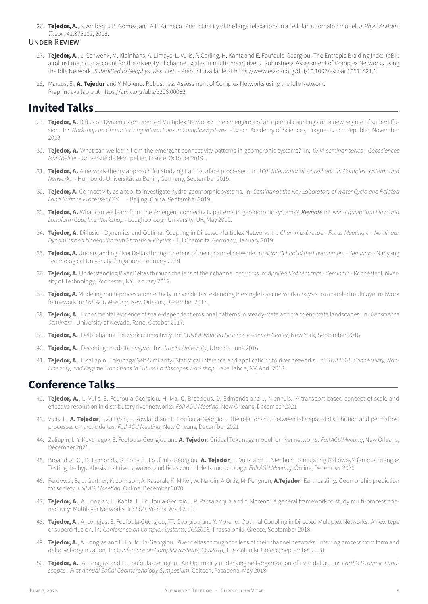26. **Tejedor, A.**, S. Ambroj, J.B. Gómez, and A.F. Pacheco. Predictability of the large relaxations in a cellular automaton model. *J. Phys. A: Math. Theor.*, 41:375102, 2008.

### UNDER REViEW

- 27. Tejedor, A., J. Schwenk, M. Kleinhans, A. Limaye, L. Vulis, P. Carling, H. Kantz and E. Foufoula-Georgiou. The Entropic Braiding Index (eBI): a robust metric to account for the diversity of channel scales in multi-thread rivers. Robustness Assessment of Complex Networks using the Idle Network. *Submitted to Geophys. Res. Lett.* ‑ Preprint available at https://www.essoar.org/doi/10.1002/essoar.10511421.1.
- 28. Marcus, E., **A. Tejedor** and Y. Moreno. Robustness Assessment of Complex Networks using the Idle Network. Preprint available at https://arxiv.org/abs/2206.00062.

# **Invited Talks**

- 29. **Tejedor, A.** Diffusion Dynamics on Directed Multiplex Networks: The emergence of an optimal coupling and a new regime of superdiffusion. In: *Workshop on Characterizing Interactions in Complex Systems* ‑ Czech Academy of Sciences, Prague, Czech Republic, November 2019.
- 30. **Tejedor, A.** What can we learn from the emergent connectivity patterns in geomorphic systems? In: *GAIA seminar series ‑ Géosciences Montpellier* ‑ Université de Montpellier, France, October 2019.
- 31. **Tejedor, A.** A network‑theory approach for studying Earth‑surface processes. In: *16th International Workshops on Complex Systems and Networks* ‑ Humboldt‑Universität zu Berlin, Germany, September 2019.
- 32. **Tejedor, A.** Connectivity as a tool to investigate hydro‑geomorphic systems. In: *Seminar at the Key Laboratory of Water Cycle and Related Land Surface Processes,CAS*  ‑ Beijing, China, September 2019.
- 33. **Tejedor, A.** What can we learn from the emergent connectivity patterns in geomorphic systems? *Keynote* in: *Non‑Equilibrium Flow and Landform Coupling Workshop* ‑ Loughborough University, UK, May 2019.
- 34. **Tejedor, A.** Diffusion Dynamics and Optimal Coupling in Directed Multiplex Networks In: *Chemnitz‑Dresden Focus Meeting on Nonlinear Dynamics and Nonequilibrium Statistical Physics* ‑ TU Chemnitz, Germany, January 2019.
- 35. **Tejedor, A.**Understanding River Deltas through the lens of their channel networks In: *Asian School ofthe Environment ‑ Seminars*‑ Nanyang Technological University, Singapore, February 2018.
- 36. **Tejedor, A.** Understanding River Deltas through the lens of their channel networks In: *Applied Mathematics ‑ Seminars*‑ Rochester Univer‑ sity of Technology, Rochester, NY, January 2018.
- 37. **Tejedor, A.** Modeling multi-process connectivity in river deltas: extending the single layer network analysis to a coupled multilayer network framework In: *Fall AGU Meeting*, New Orleans, December 2017.
- 38. **Tejedor, A.**. Experimental evidence of scale‑dependent erosional patterns in steady‑state and transient‑state landscapes. In: *Geoscience Seminars* ‑ University of Nevada, Reno, October 2017.
- 39. **Tejedor, A.**. Delta channel network connectivity. In: *CUNY Advanced Sicience Research Center*, New York, September 2016.
- 40. **Tejedor, A.**. Decoding the delta *enigma*. In: *Utrecht University*, Utrecht, June 2016.
- 41. **Teiedor, A.**, I. Zaliapin. Tokunaga Self-Similarity: Statistical inference and applications to river networks. In: *STRESS 4: Connectivity, Non*-*Linearity, and Regime Transitions in Future Earthscapes Workshop*, Lake Tahoe, NV, April 2013.

## **Conference Talks**

- 42. **Tejedor, A.**, L. Vulis, E. Foufoula-Georgiou, H. Ma, C. Broaddus, D. Edmonds and J. Nienhuis. A transport-based concept of scale and effective resolution in distributary river networks. *Fall AGU Meeting*, New Orleans, December 2021
- 43. Vulis, L., **A. Tejedor**, I. Zaliapin, J. Rowland and E. Foufoula-Georgiou. The relationship between lake spatial distribution and permafrost processes on arctic deltas. *Fall AGU Meeting*, New Orleans, December 2021
- 44. Zaliapin, I., Y. Kovchegov, E. Foufoula‑Georgiou and **A. Tejedor**. Critical Tokunaga model for river networks. *Fall AGU Meeting*, New Orleans, December 2021
- 45. Broaddus, C., D. Edmonds, S. Toby, E. Foufoula‑Georgiou, **A. Tejedor**, L. Vulis and J. Nienhuis. Simulating Galloway's famous triangle: Testing the hypothesis that rivers, waves, and tides control delta morphology. *Fall AGU Meeting*, Online, December 2020
- 46. Ferdowsi, B., J. Gartner, K. Johnson, A. Kasprak, K. Miller, W. Nardin, A.Ortiz, M. Perignon, **A.Tejedor**. Earthcasting: Geomorphic prediction for society. *Fall AGU Meeting*, Online, December 2020
- 47. **Tejedor, A.**, A. Longjas, H. Kantz. E. Foufoula-Georgiou, P. Passalacqua and Y. Moreno. A general framework to study multi-process connectivity: Multilayer Networks. In: *EGU*, Vienna, April 2019.
- 48. **Tejedor, A.**, A. Longjas, E. Foufoula‑Georgiou, T.T. Georgiou and Y. Moreno. Optimal Coupling in Directed Multiplex Networks: A new type of superdiffusion. In: *Conference on Complex Systems, CCS2018*, Thessaloniki, Greece, September 2018.
- 49. **Tejedor, A.**, A. Longjas and E. Foufoula-Georgiou. River deltas through the lens of their channel networks: Inferring process from form and delta self‑organization. In: *Conference on Complex Systems, CCS2018*, Thessaloniki, Greece, September 2018.
- 50. **Tejedor, A.**, A. Longjas and E. Foufoula‑Georgiou. An Optimality underlying self‑organization of river deltas. In: *Earth's Dynamic Land‑ scapes ‑ First Annual SoCal Geomorphology Symposium*, Caltech, Pasadena, May 2018.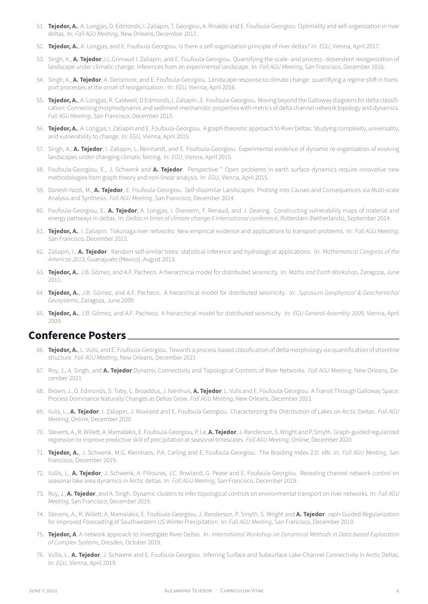- 51. **Tejedor, A.**, A. Longjas, D. Edmonds, I. Zaliapin, T. Georgiou, A. Rinaldo and E. Foufoula‑Georgiou. Optimality and self‑organization in river deltas. In: *Fall AGU Meeting*, New Orleans, December 2017.
- 52. **Tejedor, A.**, A. Longjas, and E. Foufoula‑Georgiou. Is there a self‑organization principle of river deltas? In: *EGU*, Vienna, April 2017.
- 53. Singh, A., **A. Tejedor**,J.L.Grimaud I. Zaliapin, and E. Foufoula‑Georgiou. Quantifying the scale‑ and process‑ dependent reorganization of landscape under climatic change: inferences from an experimental landscape. In: *Fall AGU Meeting*, San Francisco, December 2016.
- 54. Singh, A., **A. Tejedor**, A. Densmore, and E. Foufoula‑Georgiou. Landscape response to climate change: quantifying a regime shift in trans‑ port processes at the onset of reorganization . In: *EGU*, Vienna, April 2016.
- 55. **Tejedor, A.**, A. Longjas, R. Caldwell, D Edmonds, I. Zaliapin, E. Foufoula-Georgiou. Moving beyond the Galloway diagrams for delta classification: Connecting morphodynamic and sediment‑mechanistic properties with metrics of delta channel network topology and dynamics. *Fall AGU Meeting*, San Francisco, December 2015.
- 56. **Tejedor, A.**, A. Longjas, I. Zaliapin and E. Foufoula-Georgiou. A graph-theoretic approach to River Deltas: Studying complexity, universality, and vulnerability to change. In: *EGU*, Vienna, April 2015.
- 57. Singh, A., **A. Tejedor**, I. Zaliapin, L. Reinhardt, and E. Foufoula‑Georgiou. Experimental evidence of dynamic re‑organization of evolving landscapes under changing climatic forcing. In: *EGU*, Vienna, April 2015.
- 58. Foufoula‑Georgiou, E., J. Schwenk and **A. Tejedor**. Perspective '' Open problems in earth surface dynamics require innovative new methodologies from graph theory and non‑linear analysis. In: *EGU*, Vienna, April 2015.
- 59. Danesh‑Yazdi, M., **A. Tejedor**, E. Foufoula‑Georgiou. Self‑dissimilar Landscapes: Probing into Causes and Consequences via Multi‑scale Analysis and Synthesis. *Fall AGU Meeting*, San Francisco, December 2014.
- 60. Foufoula‑Georgiou, E., **A. Tejedor**, A. Longjas, I. Overeem, F. Renaud, and J. Dearing. Constructing vulnerability maps of material and energy pathways in deltas. In: *Deltas in times of climate change II international conference*, Rotterdam (Netherlands), September 2014.
- 61. **Tejedor, A.**, I. Zaliapin. Tokunaga river networks: New empirical evidence and applications to transport problems. In: *Fall AGU Meeting*, San Francisco, December 2013.
- 62. Zaliapin, I., **A. Tejedor**. Random self‑similar trees: statistical inference and hydrological applications. In: *Mathematical Congress of the Americas 2013*, Guanajuato (Mexico), August 2013.
- 63. **Tejedor, A.**, J.B. Gómez, and A.F. Pacheco. A hierarchical model for distributed seismicity. In: *Maths and Earth Workshop*, Zaragoza, June 2011.
- 64. **Tejedor, A.**, J.B. Gómez, and A.F. Pacheco. A hierarchical model for distributed seismicity. In: *Syposium Geophysical & Geochemichal Geosystems*, Zaragoza, June 2009.
- 65. **Tejedor, A.**, J.B. Gómez, and A.F. Pacheco. A hierarchical model for distributed seismicity. In: *EGU General Assembly 2009*, Vienna, April 2009.

### **Conference Posters**

- 66. **Tejedor, A.**, L. Vulis, and E. Foufoula-Georgiou. Towards a process-based classification of delta morphology via quantification of shoreline structure. *Fall AGU Meeting*, New Orleans, December 2021
- 67. Roy, J., A. Singh, and **A. Tejedor**.Dynamic Connectivity and Topological Controls of River Networks. *Fall AGU Meeting*, New Orleans, De‑ cember 2021
- 68. Brown, J., D. Edmonds, S. Toby, C. Broaddus, J. Nienhuis, **A. Tejedor**, L. Vulis and E. Foufoula‑Georgiou. A Transit Through Galloway Space: Process Dominance Naturally Changes as Deltas Grow. *Fall AGU Meeting*, New Orleans, December 2021
- 69. Vulis, L., **A. Tejedor**, I. Zaliapin, J. Rowland and E. Foufoula‑Georgiou. Characterizing the Distribution of Lakes on Arctic Deltas. *Fall AGU Meeting*, Online, December 2020
- 70. Stevens, A., R. Willett, A. Mamalakis, E. Foufoula‑Georgiou, P. Le, **A. Tejedor**, J. Randerson, S. Wright and P. Smyth. Graph‑guided regularized regression to improve predictive skill of precipitation at seasonal timescales. *Fall AGU Meeting*, Online, December 2020
- 71. **Tejedor, A.**, J. Schwenk, M.G. Kleinhans, P.A. Carling and E. Foufoula‑Georgiou. The Braiding Index 2.0: eBI. In: *Fall AGU Meeting*, San Francisco, December 2019.
- 72. Vullis, L., **A. Tejedor**, J. Schwenk, A. Piliouras, J.C. Rowland, G. Pease and E. Foufoula‑Georgiou. Revealing channel network control on seasonal lake area dynamics in Arctic deltas. In: *Fall AGU Meeting*, San Francisco, December 2019.
- 73. Roy, J., **A. Tejedor**, and A. Singh. Dynamic clusters to infer topological controls on environmental transport on river networks. In: *Fall AGU Meeting*, San Francisco, December 2019.
- 74. Stevens, A., R. Willett, A. Mamalakis, E. Foufoula‑Georgiou, J. Randerson, P. Smyth, S. Wright and **A. Tejedor**. raph‑Guided Regularization for Improved Forecasting of Southwestern US Winter Precipitation. In: *Fall AGU Meeting*, San Francisco, December 2019.
- 75. **Tejedor, A**. A network approach to investigate River Deltas. In: *International Workshop on Dynamical Methods in Data‑based Exploration of Complex Systems*, Dresden, October 2019.
- 76. Vullis, L., **A. Tejedor**, J. Schwenk and E. Foufoula‑Georgiou. Inferring Surface and Subsurface Lake‑Channel Connectivity in Arctic Deltas. In: *EGU*, Vienna, April 2019.